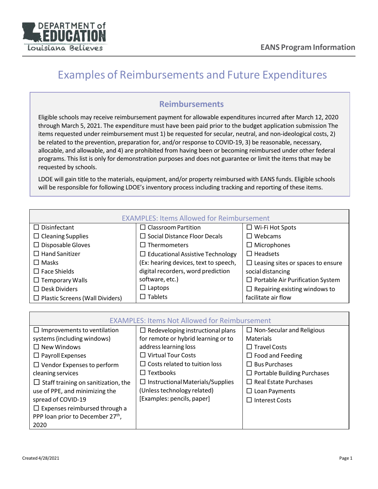

## Examples of Reimbursements and Future Expenditures

## **Reimbursements**

Eligible schools may receive reimbursement payment for allowable expenditures incurred after March 12, 2020 through March 5, 2021. The expenditure must have been paid prior to the budget application submission The items requested under reimbursement must 1) be requested for secular, neutral, and non-ideological costs, 2) be related to the prevention, preparation for, and/or response to COVID-19, 3) be reasonable, necessary, allocable, and allowable, and 4) are prohibited from having been or becoming reimbursed under other federal programs. This list is only for demonstration purposes and does not guarantee or limit the items that may be requested by schools.

LDOE will gain title to the materials, equipment, and/or property reimbursed with EANS funds. Eligible schools will be responsible for following LDOE's inventory process including tracking and reporting of these items.

| <b>EXAMPLES: Items Allowed for Reimbursement</b> |                                         |                                          |
|--------------------------------------------------|-----------------------------------------|------------------------------------------|
| $\Box$ Disinfectant                              | $\Box$ Classroom Partition              | $\Box$ Wi-Fi Hot Spots                   |
| $\Box$ Cleaning Supplies                         | $\square$ Social Distance Floor Decals  | $\Box$ Webcams                           |
| $\Box$ Disposable Gloves                         | $\Box$ Thermometers                     | $\Box$ Microphones                       |
| $\Box$ Hand Sanitizer                            | $\Box$ Educational Assistive Technology | $\Box$ Headsets                          |
| $\Box$ Masks                                     | (Ex: hearing devices, text to speech,   | $\Box$ Leasing sites or spaces to ensure |
| $\Box$ Face Shields                              | digital recorders, word prediction      | social distancing                        |
| $\Box$ Temporary Walls                           | software, etc.)                         | $\Box$ Portable Air Purification System  |
| $\Box$ Desk Dividers                             | $\Box$ Laptops                          | $\Box$ Repairing existing windows to     |
| $\Box$ Plastic Screens (Wall Dividers)           | $\Box$ Tablets                          | facilitate air flow                      |

| <b>EXAMPLES: Items Not Allowed for Reimbursement</b> |                                         |                                    |
|------------------------------------------------------|-----------------------------------------|------------------------------------|
| $\Box$ Improvements to ventilation                   | $\Box$ Redeveloping instructional plans | $\Box$ Non-Secular and Religious   |
| systems (including windows)                          | for remote or hybrid learning or to     | <b>Materials</b>                   |
| $\Box$ New Windows                                   | address learning loss                   | $\Box$ Travel Costs                |
| $\Box$ Payroll Expenses                              | $\Box$ Virtual Tour Costs               | $\Box$ Food and Feeding            |
| $\Box$ Vendor Expenses to perform                    | $\Box$ Costs related to tuition loss    | $\Box$ Bus Purchases               |
| cleaning services                                    | $\Box$ Textbooks                        | $\Box$ Portable Building Purchases |
| $\Box$ Staff training on sanitization, the           | $\Box$ Instructional Materials/Supplies | $\Box$ Real Estate Purchases       |
| use of PPE, and minimizing the                       | (Unless technology related)             | $\Box$ Loan Payments               |
| spread of COVID-19                                   | [Examples: pencils, paper]              | $\Box$ Interest Costs              |
| $\Box$ Expenses reimbursed through a                 |                                         |                                    |
| PPP loan prior to December 27 <sup>th</sup> ,        |                                         |                                    |
| 2020                                                 |                                         |                                    |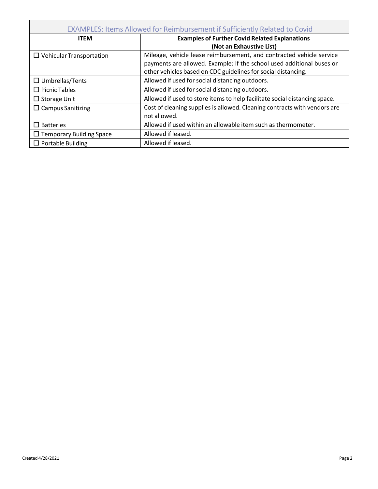| <b>EXAMPLES: Items Allowed for Reimbursement if Sufficiently Related to Covid</b> |                                                                            |  |
|-----------------------------------------------------------------------------------|----------------------------------------------------------------------------|--|
| <b>ITEM</b>                                                                       | <b>Examples of Further Covid Related Explanations</b>                      |  |
|                                                                                   | (Not an Exhaustive List)                                                   |  |
| $\Box$ Vehicular Transportation                                                   | Mileage, vehicle lease reimbursement, and contracted vehicle service       |  |
|                                                                                   | payments are allowed. Example: If the school used additional buses or      |  |
|                                                                                   | other vehicles based on CDC guidelines for social distancing.              |  |
| $\Box$ Umbrellas/Tents                                                            | Allowed if used for social distancing outdoors.                            |  |
| $\Box$ Picnic Tables                                                              | Allowed if used for social distancing outdoors.                            |  |
| $\Box$ Storage Unit                                                               | Allowed if used to store items to help facilitate social distancing space. |  |
| $\Box$ Campus Sanitizing                                                          | Cost of cleaning supplies is allowed. Cleaning contracts with vendors are  |  |
|                                                                                   | not allowed.                                                               |  |
| $\Box$ Batteries                                                                  | Allowed if used within an allowable item such as thermometer.              |  |
| $\Box$ Temporary Building Space                                                   | Allowed if leased.                                                         |  |
| $\Box$ Portable Building                                                          | Allowed if leased.                                                         |  |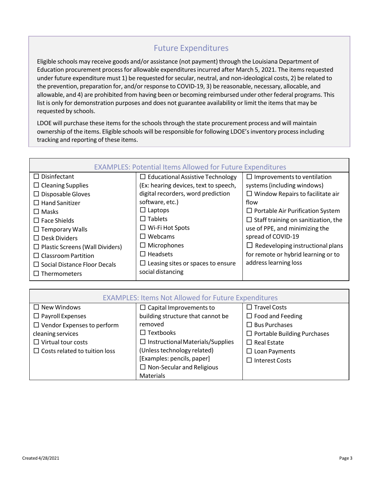## Future Expenditures

Eligible schools may receive goods and/or assistance (not payment) through the Louisiana Department of Education procurement processfor allowable expendituresincurred after March 5, 2021. The itemsrequested under future expenditure must 1) be requested for secular, neutral, and non-ideological costs, 2) be related to the prevention, preparation for, and/or response to COVID-19, 3) be reasonable, necessary, allocable, and allowable, and 4) are prohibited from having been or becoming reimbursed under other federal programs. This list is only for demonstration purposes and does not guarantee availability or limit the items that may be requested by schools.

LDOE will purchase these items for the schools through the state procurement process and will maintain ownership of the items. Eligible schools will be responsible for following LDOE's inventory process including tracking and reporting of these items.

| <b>EXAMPLES: Potential Items Allowed for Future Expenditures</b> |                                          |                                            |
|------------------------------------------------------------------|------------------------------------------|--------------------------------------------|
| $\Box$ Disinfectant                                              | $\Box$ Educational Assistive Technology  | $\Box$ Improvements to ventilation         |
| $\Box$ Cleaning Supplies                                         | (Ex: hearing devices, text to speech,    | systems (including windows)                |
| $\Box$ Disposable Gloves                                         | digital recorders, word prediction       | $\Box$ Window Repairs to facilitate air    |
| $\Box$ Hand Sanitizer                                            | software, etc.)                          | flow                                       |
| $\Box$ Masks                                                     | $\Box$ Laptops                           | $\Box$ Portable Air Purification System    |
| $\Box$ Face Shields                                              | $\Box$ Tablets                           | $\Box$ Staff training on sanitization, the |
| $\Box$ Temporary Walls                                           | $\Box$ Wi-Fi Hot Spots                   | use of PPE, and minimizing the             |
| $\Box$ Desk Dividers                                             | $\Box$ Webcams                           | spread of COVID-19                         |
| $\Box$ Plastic Screens (Wall Dividers)                           | $\Box$ Microphones                       | $\Box$ Redeveloping instructional plans    |
| $\Box$ Classroom Partition                                       | $\Box$ Headsets                          | for remote or hybrid learning or to        |
| $\Box$ Social Distance Floor Decals                              | $\Box$ Leasing sites or spaces to ensure | address learning loss                      |
| $\Box$ Thermometers                                              | social distancing                        |                                            |

| <b>EXAMPLES: Items Not Allowed for Future Expenditures</b> |                                         |                                    |
|------------------------------------------------------------|-----------------------------------------|------------------------------------|
| $\Box$ New Windows                                         | $\Box$ Capital Improvements to          | $\Box$ Travel Costs                |
| $\Box$ Payroll Expenses                                    | building structure that cannot be       | $\Box$ Food and Feeding            |
| $\Box$ Vendor Expenses to perform                          | removed                                 | $\Box$ Bus Purchases               |
| cleaning services                                          | $\Box$ Textbooks                        | $\Box$ Portable Building Purchases |
| $\Box$ Virtual tour costs                                  | $\Box$ Instructional Materials/Supplies | $\Box$ Real Estate                 |
| $\Box$ Costs related to tuition loss                       | (Unless technology related)             | $\Box$ Loan Payments               |
|                                                            | [Examples: pencils, paper]              | $\Box$ Interest Costs              |
|                                                            | $\Box$ Non-Secular and Religious        |                                    |
|                                                            | Materials                               |                                    |